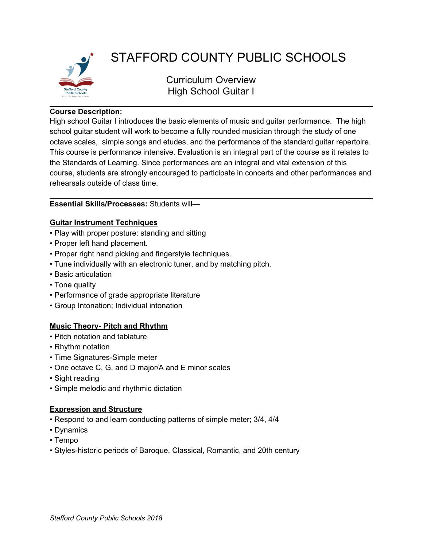

# STAFFORD COUNTY PUBLIC SCHOOLS

Curriculum Overview High School Guitar I

#### **Course Description:**

High school Guitar I introduces the basic elements of music and guitar performance. The high school guitar student will work to become a fully rounded musician through the study of one octave scales, simple songs and etudes, and the performance of the standard guitar repertoire. This course is performance intensive. Evaluation is an integral part of the course as it relates to the Standards of Learning. Since performances are an integral and vital extension of this course, students are strongly encouraged to participate in concerts and other performances and rehearsals outside of class time.

#### **Essential Skills/Processes:** Students will—

## **Guitar Instrument Techniques**

- Play with proper posture: standing and sitting
- Proper left hand placement.
- Proper right hand picking and fingerstyle techniques.
- Tune individually with an electronic tuner, and by matching pitch.
- Basic articulation
- Tone quality
- Performance of grade appropriate literature
- Group Intonation; Individual intonation

## **Music Theory- Pitch and Rhythm**

- Pitch notation and tablature
- Rhythm notation
- Time Signatures-Simple meter
- One octave C, G, and D major/A and E minor scales
- Sight reading
- Simple melodic and rhythmic dictation

## **Expression and Structure**

- Respond to and learn conducting patterns of simple meter; 3/4, 4/4
- Dynamics
- Tempo
- Styles-historic periods of Baroque, Classical, Romantic, and 20th century